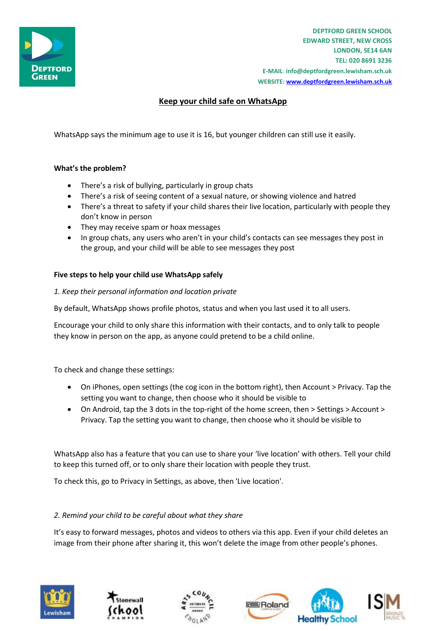

**DEPTFORD GREEN SCHOOL EDWARD STREET, NEW CROSS LONDON, SE14 6AN TEL: 020 8691 3236 E-MAIL**: **info@deptfordgreen.lewisham.sch.uk WEBSITE: www.deptfordgreen.lewisham.sch.uk**

# **Keep your child safe on WhatsApp**

WhatsApp says the minimum age to use it is 16, but younger children can still use it easily.

# **What's the problem?**

- There's a risk of bullying, particularly in group chats
- There's a risk of seeing content of a sexual nature, or showing violence and hatred
- There's a threat to safety if your child shares their live location, particularly with people they don't know in person
- They may receive spam or hoax messages
- In group chats, any users who aren't in your child's contacts can see messages they post in the group, and your child will be able to see messages they post

#### **Five steps to help your child use WhatsApp safely**

*1. Keep their personal information and location private*

By default, WhatsApp shows profile photos, status and when you last used it to all users.

Encourage your child to only share this information with their contacts, and to only talk to people they know in person on the app, as anyone could pretend to be a child online.

To check and change these settings:

- On iPhones, open settings (the cog icon in the bottom right), then Account > Privacy. Tap the setting you want to change, then choose who it should be visible to
- On Android, tap the 3 dots in the top-right of the home screen, then > Settings > Account > Privacy. Tap the setting you want to change, then choose who it should be visible to

WhatsApp also has a feature that you can use to share your 'live location' with others. Tell your child to keep this turned off, or to only share their location with people they trust.

To check this, go to Privacy in Settings, as above, then 'Live location'.

# *2. Remind your child to be careful about what they share*

It's easy to forward messages, photos and videos to others via this app. Even if your child deletes an image from their phone after sharing it, this won't delete the image from other people's phones.







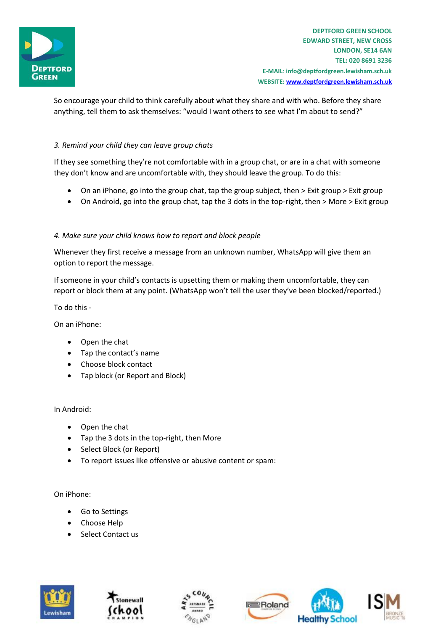

So encourage your child to think carefully about what they share and with who. Before they share anything, tell them to ask themselves: "would I want others to see what I'm about to send?"

#### *3. Remind your child they can leave group chats*

If they see something they're not comfortable with in a group chat, or are in a chat with someone they don't know and are uncomfortable with, they should leave the group. To do this:

- On an iPhone, go into the group chat, tap the group subject, then > Exit group > Exit group
- On Android, go into the group chat, tap the 3 dots in the top-right, then > More > Exit group

# *4. Make sure your child knows how to report and block people*

Whenever they first receive a message from an unknown number, WhatsApp will give them an option to report the message.

If someone in your child's contacts is upsetting them or making them uncomfortable, they can report or block them at any point. (WhatsApp won't tell the user they've been blocked/reported.)

To do this -

On an iPhone:

- Open the chat
- Tap the contact's name
- Choose block contact
- Tap block (or Report and Block)

In Android:

- Open the chat
- Tap the 3 dots in the top-right, then More
- Select Block (or Report)
- To report issues like offensive or abusive content or spam:

On iPhone:

- Go to Settings
- Choose Help
- Select Contact us